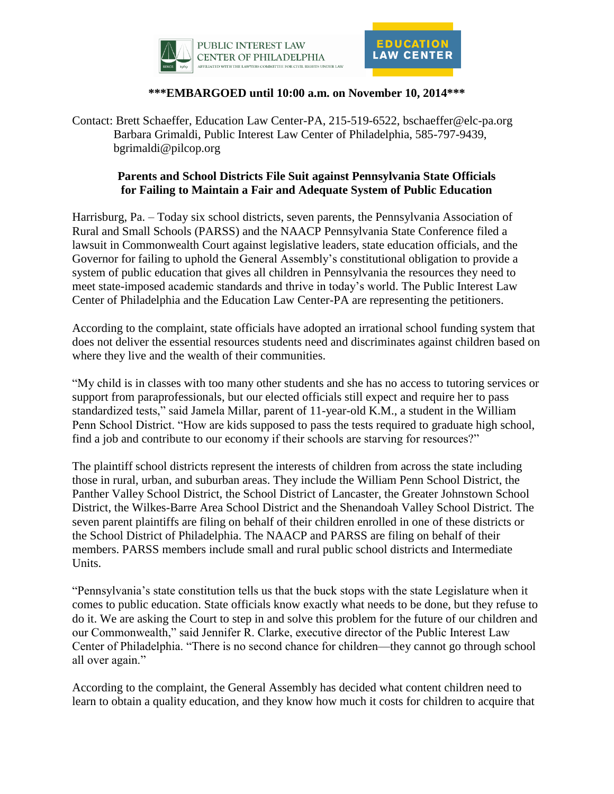



## **\*\*\*EMBARGOED until 10:00 a.m. on November 10, 2014\*\*\***

Contact: Brett Schaeffer, Education Law Center-PA, 215-519-6522, bschaeffer@elc-pa.org Barbara Grimaldi, Public Interest Law Center of Philadelphia, 585-797-9439, bgrimaldi@pilcop.org

## **Parents and School Districts File Suit against Pennsylvania State Officials for Failing to Maintain a Fair and Adequate System of Public Education**

Harrisburg, Pa. – Today six school districts, seven parents, the Pennsylvania Association of Rural and Small Schools (PARSS) and the NAACP Pennsylvania State Conference filed a lawsuit in Commonwealth Court against legislative leaders, state education officials, and the Governor for failing to uphold the General Assembly's constitutional obligation to provide a system of public education that gives all children in Pennsylvania the resources they need to meet state-imposed academic standards and thrive in today's world. The Public Interest Law Center of Philadelphia and the Education Law Center-PA are representing the petitioners.

According to the complaint, state officials have adopted an irrational school funding system that does not deliver the essential resources students need and discriminates against children based on where they live and the wealth of their communities.

"My child is in classes with too many other students and she has no access to tutoring services or support from paraprofessionals, but our elected officials still expect and require her to pass standardized tests," said Jamela Millar, parent of 11-year-old K.M., a student in the William Penn School District. "How are kids supposed to pass the tests required to graduate high school, find a job and contribute to our economy if their schools are starving for resources?"

The plaintiff school districts represent the interests of children from across the state including those in rural, urban, and suburban areas. They include the William Penn School District, the Panther Valley School District, the School District of Lancaster, the Greater Johnstown School District, the Wilkes-Barre Area School District and the Shenandoah Valley School District. The seven parent plaintiffs are filing on behalf of their children enrolled in one of these districts or the School District of Philadelphia. The NAACP and PARSS are filing on behalf of their members. PARSS members include small and rural public school districts and Intermediate Units.

"Pennsylvania's state constitution tells us that the buck stops with the state Legislature when it comes to public education. State officials know exactly what needs to be done, but they refuse to do it. We are asking the Court to step in and solve this problem for the future of our children and our Commonwealth," said Jennifer R. Clarke, executive director of the Public Interest Law Center of Philadelphia. "There is no second chance for children—they cannot go through school all over again."

According to the complaint, the General Assembly has decided what content children need to learn to obtain a quality education, and they know how much it costs for children to acquire that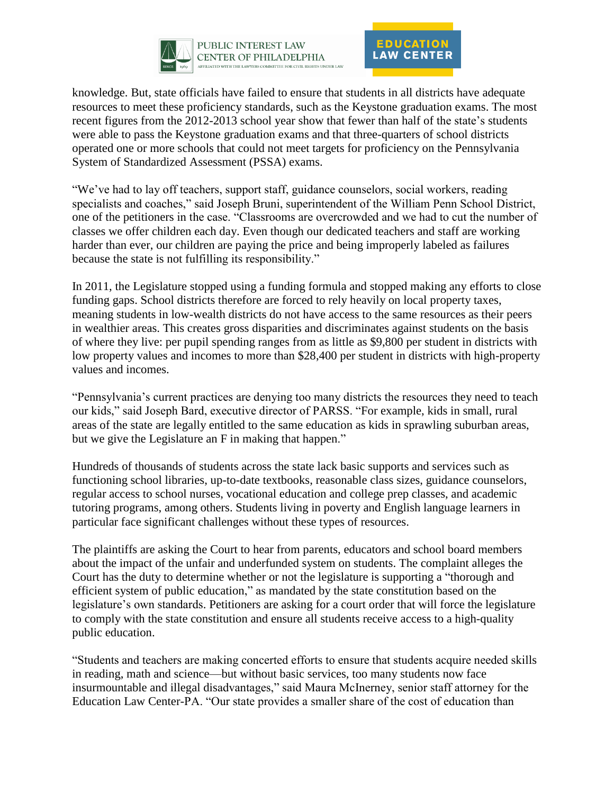



knowledge. But, state officials have failed to ensure that students in all districts have adequate resources to meet these proficiency standards, such as the Keystone graduation exams. The most recent figures from the 2012-2013 school year show that fewer than half of the state's students were able to pass the Keystone graduation exams and that three-quarters of school districts operated one or more schools that could not meet targets for proficiency on the Pennsylvania System of Standardized Assessment (PSSA) exams.

"We've had to lay off teachers, support staff, guidance counselors, social workers, reading specialists and coaches," said Joseph Bruni, superintendent of the William Penn School District, one of the petitioners in the case. "Classrooms are overcrowded and we had to cut the number of classes we offer children each day. Even though our dedicated teachers and staff are working harder than ever, our children are paying the price and being improperly labeled as failures because the state is not fulfilling its responsibility."

In 2011, the Legislature stopped using a funding formula and stopped making any efforts to close funding gaps. School districts therefore are forced to rely heavily on local property taxes, meaning students in low-wealth districts do not have access to the same resources as their peers in wealthier areas. This creates gross disparities and discriminates against students on the basis of where they live: per pupil spending ranges from as little as \$9,800 per student in districts with low property values and incomes to more than \$28,400 per student in districts with high-property values and incomes.

"Pennsylvania's current practices are denying too many districts the resources they need to teach our kids," said Joseph Bard, executive director of PARSS. "For example, kids in small, rural areas of the state are legally entitled to the same education as kids in sprawling suburban areas, but we give the Legislature an F in making that happen."

Hundreds of thousands of students across the state lack basic supports and services such as functioning school libraries, up-to-date textbooks, reasonable class sizes, guidance counselors, regular access to school nurses, vocational education and college prep classes, and academic tutoring programs, among others. Students living in poverty and English language learners in particular face significant challenges without these types of resources.

The plaintiffs are asking the Court to hear from parents, educators and school board members about the impact of the unfair and underfunded system on students. The complaint alleges the Court has the duty to determine whether or not the legislature is supporting a "thorough and efficient system of public education," as mandated by the state constitution based on the legislature's own standards. Petitioners are asking for a court order that will force the legislature to comply with the state constitution and ensure all students receive access to a high-quality public education.

"Students and teachers are making concerted efforts to ensure that students acquire needed skills in reading, math and science—but without basic services, too many students now face insurmountable and illegal disadvantages," said Maura McInerney, senior staff attorney for the Education Law Center-PA. "Our state provides a smaller share of the cost of education than